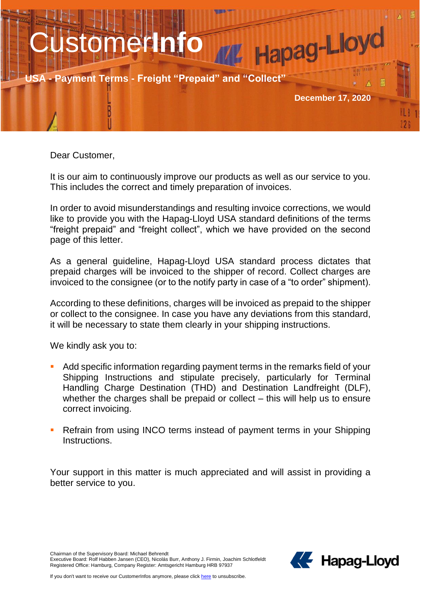

Dear Customer,

It is our aim to continuously improve our products as well as our service to you. This includes the correct and timely preparation of invoices.

In order to avoid misunderstandings and resulting invoice corrections, we would like to provide you with the Hapag-Lloyd USA standard definitions of the terms "freight prepaid" and "freight collect", which we have provided on the second page of this letter.

As a general guideline, Hapag-Lloyd USA standard process dictates that prepaid charges will be invoiced to the shipper of record. Collect charges are invoiced to the consignee (or to the notify party in case of a "to order" shipment).

According to these definitions, charges will be invoiced as prepaid to the shipper or collect to the consignee. In case you have any deviations from this standard, it will be necessary to state them clearly in your shipping instructions.

We kindly ask you to:

- Add specific information regarding payment terms in the remarks field of your Shipping Instructions and stipulate precisely, particularly for Terminal Handling Charge Destination (THD) and Destination Landfreight (DLF), whether the charges shall be prepaid or collect – this will help us to ensure correct invoicing.
- **Refrain from using INCO terms instead of payment terms in your Shipping** Instructions.

Your support in this matter is much appreciated and will assist in providing a better service to you.

Chairman of the Supervisory Board: Michael Behrendt

Executive Board: Rolf Habben Jansen (CEO), Nicolás Burr, Anthony J. Firmin, Joachim Schlotfeldt Registered Office: Hamburg, Company Register: Amtsgericht Hamburg HRB 97937